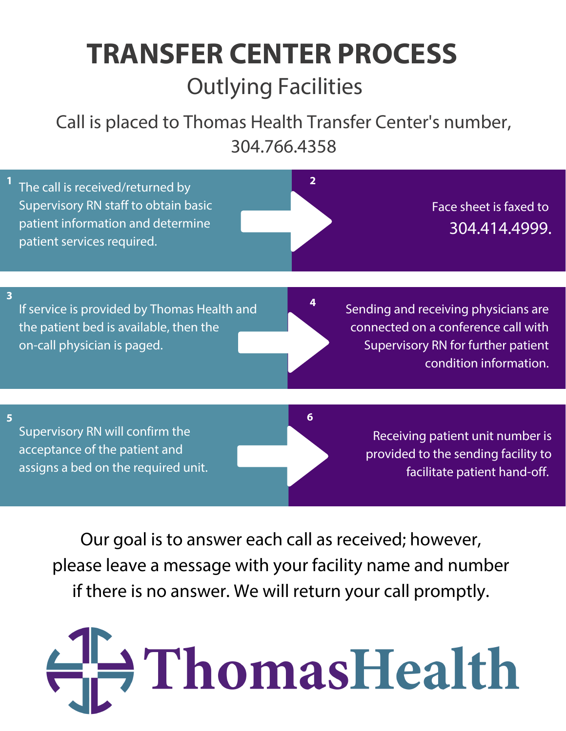## **TRANSFER CENTER PROCESS** Outlying Facilities

Call is placed to Thomas Health Transfer Center's number, 304.766.4358

|                         | The call is received/returned by<br>Supervisory RN staff to obtain basic<br>patient information and determine<br>patient services required. | $\overline{2}$ | Face sheet is faxed to<br>304.414.4999.                                                                                                     |  |
|-------------------------|---------------------------------------------------------------------------------------------------------------------------------------------|----------------|---------------------------------------------------------------------------------------------------------------------------------------------|--|
| $\overline{\mathbf{3}}$ |                                                                                                                                             |                |                                                                                                                                             |  |
|                         | If service is provided by Thomas Health and<br>the patient bed is available, then the<br>on-call physician is paged.                        |                | Sending and receiving physicians are<br>connected on a conference call with<br>Supervisory RN for further patient<br>condition information. |  |
|                         |                                                                                                                                             |                |                                                                                                                                             |  |
| 5                       | Supervisory RN will confirm the<br>acceptance of the patient and<br>assigns a bed on the required unit.                                     | 6              | Receiving patient unit number is<br>provided to the sending facility to<br>facilitate patient hand-off.                                     |  |
|                         | Our goal is to answer each call as received; however,                                                                                       |                |                                                                                                                                             |  |

please leave a message with your facility name and number if there is no answer. We will return your call promptly.

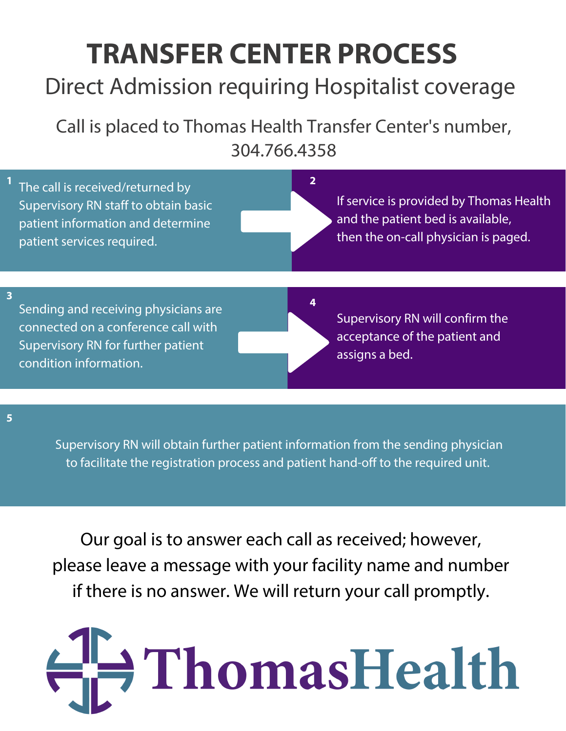## **TRANSFER CENTER PROCESS**

#### Direct Admission requiring Hospitalist coverage

Call is placed to Thomas Health Transfer Center's number, 304.766.4358

| The call is received/returned by<br>Supervisory RN staff to obtain basic<br>patient information and determine<br>patient services required.                            | If service is provided by Thomas Health<br>and the patient bed is available,<br>then the on-call physician is paged. |
|------------------------------------------------------------------------------------------------------------------------------------------------------------------------|----------------------------------------------------------------------------------------------------------------------|
| $\overline{\mathbf{3}}$<br>Sending and receiving physicians are<br>connected on a conference call with<br>Supervisory RN for further patient<br>condition information. | Supervisory RN will confirm the<br>acceptance of the patient and<br>assigns a bed.                                   |

**5**

Supervisory RN will obtain further patient information from the sending physician to facilitate the registration process and patient hand-off to the required unit.

Our goal is to answer each call as received; however, please leave a message with your facility name and number if there is no answer. We will return your call promptly.